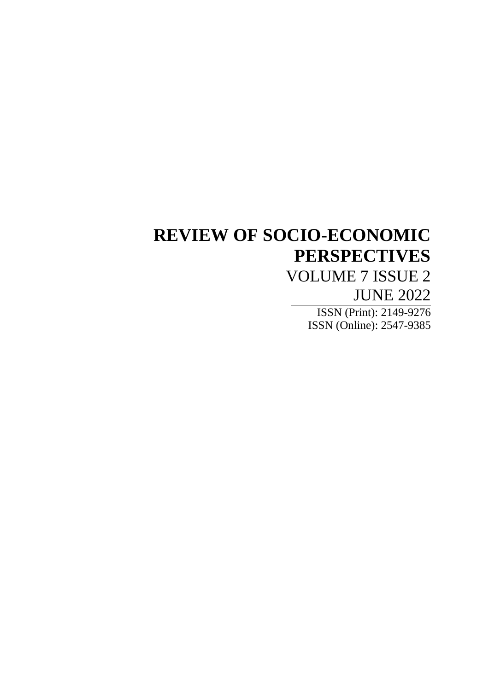# **REVIEW OF SOCIO-ECONOMIC PERSPECTIVES**

# VOLUME 7 ISSUE 2 JUNE 2022

ISSN (Print): 2149-9276 ISSN (Online): 2547-9385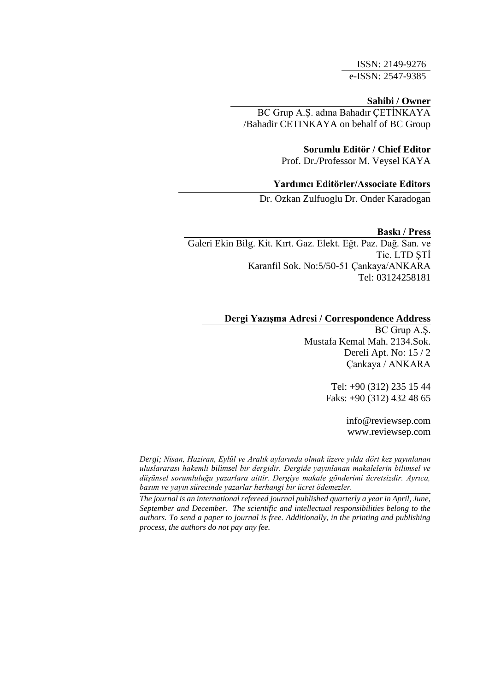ISSN: 2149-9276 e-ISSN: 2547-9385

## **Sahibi / Owner**

BC Grup A.Ş. adına Bahadır ÇETİNKAYA /Bahadir CETINKAYA on behalf of BC Group

## **Sorumlu Editör / Chief Editor**

Prof. Dr./Professor M. Veysel KAYA

## **Yardımcı Editörler/Associate Editors**

Dr. Ozkan Zulfuoglu Dr. Onder Karadogan

## **Baskı / Press**

Galeri Ekin Bilg. Kit. Kırt. Gaz. Elekt. Eğt. Paz. Dağ. San. ve Tic. LTD ŞTİ Karanfil Sok. No:5/50-51 Çankaya/ANKARA Tel: [03124258181](tel:+903124258181)

# **Dergi Yazışma Adresi / Correspondence Address**

BC Grup A.Ş. Mustafa Kemal Mah. 2134.Sok. Dereli Apt. No: 15 / 2 Çankaya / ANKARA

> Tel: +90 (312) 235 15 44 Faks: +90 (312) 432 48 65

> > info@reviewsep.com [www.reviewsep.](http://www.reviewsep/)com

info@reviewsep.com *uluslararası hakemli bilimsel bir dergidir. Dergide yayınlanan makalelerin bilimsel ve*  düşünsel sorumluluğu yazarlara aittir. Dergiye makale gönderimi ücretsizdir. Ayrıca, *Dergi; Nisan, Haziran, Eylül ve Aralık aylarında olmak üzere yılda dört kez yayınlanan basım ve yayın sürecinde yazarlar herhangi bir ücret ödemezler.*

*The journal is an international refereed journal published quarterly a year in April, June, September and December. The scientific and intellectual responsibilities belong to the authors. To send a paper to journal is free. Additionally, in the printing and publishing process, the authors do not pay any fee.*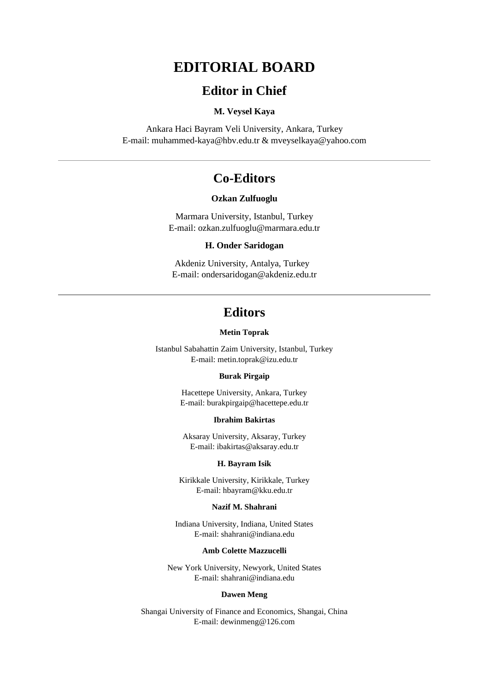# **EDITORIAL BOARD**

# **Editor in Chief**

## **M. Veysel Kaya**

Ankara Haci Bayram Veli University, Ankara, Turkey E-mail: muhammed-kaya@hbv.edu.tr & mveyselkaya@yahoo.com

# **Co-Editors**

#### **Ozkan Zulfuoglu**

Marmara University, Istanbul, Turkey E-mail: ozkan.zulfuoglu@marmara.edu.tr

#### **H. Onder Saridogan**

Akdeniz University, Antalya, Turkey E-mail: ondersaridogan@akdeniz.edu.tr

# **Editors**

#### **Metin Toprak**

Istanbul Sabahattin Zaim University, Istanbul, Turkey E-mail: metin.toprak@izu.edu.tr

#### **Burak Pirgaip**

Hacettepe University, Ankara, Turkey E-mail: burakpirgaip@hacettepe.edu.tr

## **Ibrahim Bakirtas**

Aksaray University, Aksaray, Turkey E-mail: ibakirtas@aksaray.edu.tr

#### **H. Bayram Isik**

Kirikkale University, Kirikkale, Turkey E-mail: hbayram@kku.edu.tr

## **Nazif M. Shahrani**

Indiana University, Indiana, United States E-mail: shahrani@indiana.edu

#### **Amb Colette Mazzucelli**

New York University, Newyork, United States E-mail: shahrani@indiana.edu

#### **Dawen Meng**

Shangai University of Finance and Economics, Shangai, China E-mail: dewinmeng@126.com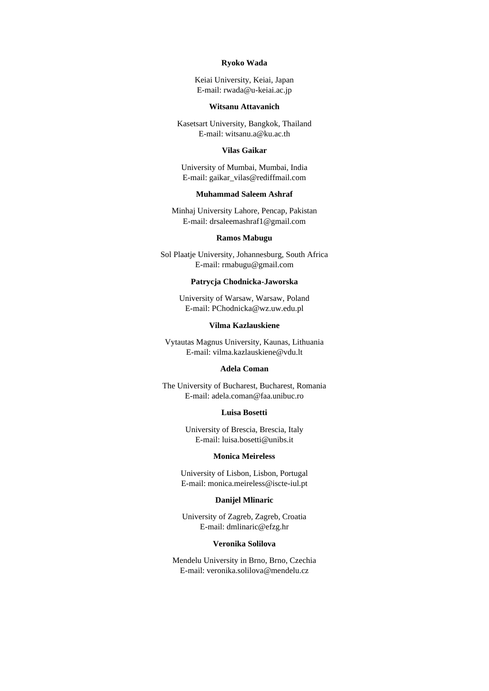#### **Ryoko Wada**

Keiai University, Keiai, Japan E-mail: rwada@u-keiai.ac.jp

#### **Witsanu Attavanich**

Kasetsart University, Bangkok, Thailand E-mail: witsanu.a@ku.ac.th

#### **Vilas Gaikar**

University of Mumbai, Mumbai, India E-mail: gaikar\_vilas@rediffmail.com

## **Muhammad Saleem Ashraf**

Minhaj University Lahore, Pencap, Pakistan E-mail: drsaleemashraf1@gmail.com

#### **Ramos Mabugu**

Sol Plaatje University, Johannesburg, South Africa E-mail: rmabugu@gmail.com

#### **Patrycja Chodnicka-Jaworska**

University of Warsaw, Warsaw, Poland E-mail: PChodnicka@wz.uw.edu.pl

#### **Vilma Kazlauskiene**

Vytautas Magnus University, Kaunas, Lithuania E-mail: vilma.kazlauskiene@vdu.lt

#### **Adela Coman**

The University of Bucharest, Bucharest, Romania E-mail: adela.coman@faa.unibuc.ro

#### **Luisa Bosetti**

University of Brescia, Brescia, Italy E-mail: luisa.bosetti@unibs.it

#### **Monica Meireless**

University of Lisbon, Lisbon, Portugal E-mail: monica.meireless@iscte-iul.pt

#### **Danijel Mlinaric**

University of Zagreb, Zagreb, Croatia E-mail: dmlinaric@efzg.hr

#### **Veronika Solilova**

Mendelu University in Brno, Brno, Czechia E-mail: veronika.solilova@mendelu.cz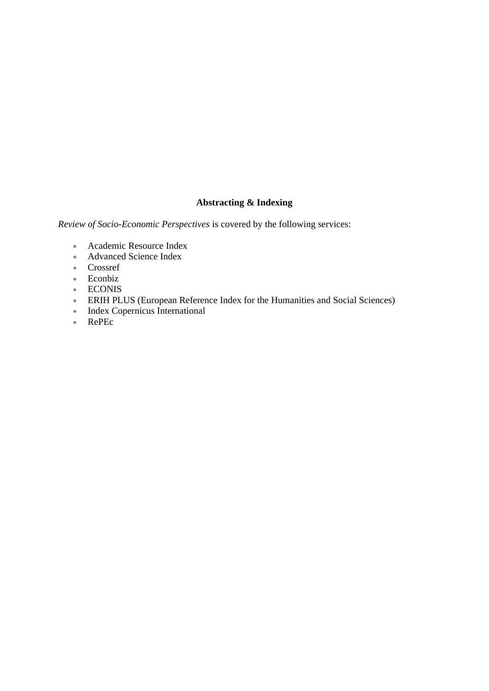# **Abstracting & Indexing**

*Review of Socio-Economic Perspectives* is covered by the following services:

- Academic Resource Index
- Advanced Science Index
- Crossref
- Econbiz
- ECONIS
- ERIH PLUS (European Reference Index for the Humanities and Social Sciences)
- Index Copernicus International
- RePEc